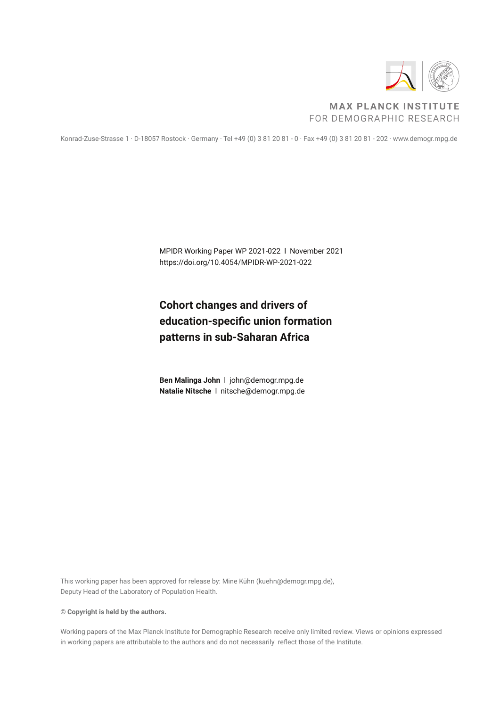

#### **MAX PLANCK INSTITUTE** FOR DEMOGRAPHIC RESEARCH

Konrad-Zuse-Strasse 1 · D-18057 Rostock · Germany · Tel +49 (0) 3 81 20 81 - 0 · Fax +49 (0) 3 81 20 81 - 202 · www.demogr.mpg.de

MPIDR Working Paper WP 2021-022 l November 2021 https://doi.org/10.4054/MPIDR-WP-2021-022

## **Cohort changes and drivers of education-specific union formation patterns in sub-Saharan Africa**

**Ben Malinga John** l john@demogr.mpg.de **Natalie Nitsche** l nitsche@demogr.mpg.de

This working paper has been approved for release by: Mine Kühn (kuehn@demogr.mpg.de), Deputy Head of the Laboratory of Population Health.

**© Copyright is held by the authors.**

Working papers of the Max Planck Institute for Demographic Research receive only limited review. Views or opinions expressed in working papers are attributable to the authors and do not necessarily reflect those of the Institute.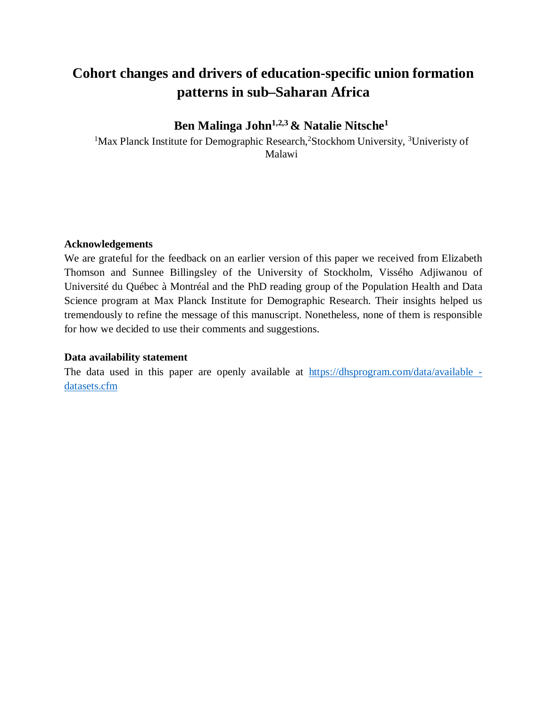# **Cohort changes and drivers of education-specific union formation patterns in sub–Saharan Africa**

## **Ben Malinga John1,2,3 & Natalie Nitsche<sup>1</sup>**

<sup>1</sup>Max Planck Institute for Demographic Research,  $2$ Stockhom University,  $3$ Univeristy of Malawi

#### **Acknowledgements**

We are grateful for the feedback on an earlier version of this paper we received from Elizabeth Thomson and Sunnee Billingsley of the University of Stockholm, Vissého Adjiwanou of Université du Québec à Montréal and the PhD reading group of the Population Health and Data Science program at Max Planck Institute for Demographic Research. Their insights helped us tremendously to refine the message of this manuscript. Nonetheless, none of them is responsible for how we decided to use their comments and suggestions.

#### **Data availability statement**

The data used in this paper are openly available at https://dhsprogram.com/data/available datasets.cfm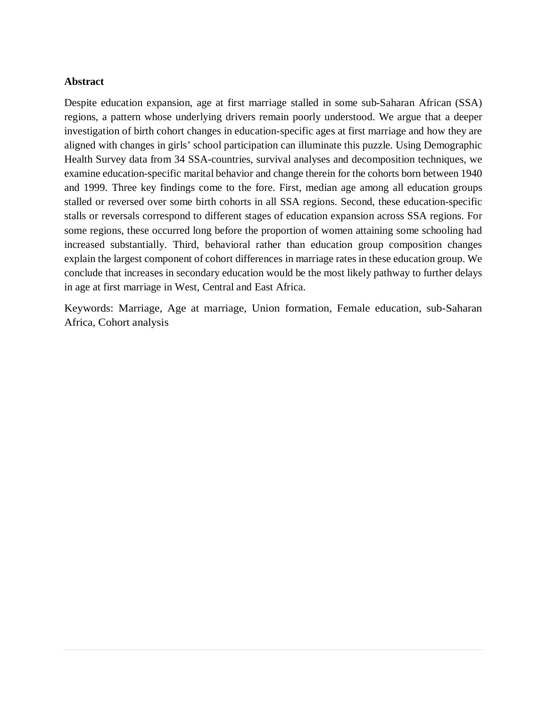#### **Abstract**

Despite education expansion, age at first marriage stalled in some sub-Saharan African (SSA) regions, a pattern whose underlying drivers remain poorly understood. We argue that a deeper investigation of birth cohort changes in education-specific ages at first marriage and how they are aligned with changes in girls' school participation can illuminate this puzzle. Using Demographic Health Survey data from 34 SSA-countries, survival analyses and decomposition techniques, we examine education-specific marital behavior and change therein for the cohorts born between 1940 and 1999. Three key findings come to the fore. First, median age among all education groups stalled or reversed over some birth cohorts in all SSA regions. Second, these education-specific stalls or reversals correspond to different stages of education expansion across SSA regions. For some regions, these occurred long before the proportion of women attaining some schooling had increased substantially. Third, behavioral rather than education group composition changes explain the largest component of cohort differences in marriage rates in these education group. We conclude that increases in secondary education would be the most likely pathway to further delays in age at first marriage in West, Central and East Africa.

Keywords: Marriage, Age at marriage, Union formation, Female education, sub-Saharan Africa, Cohort analysis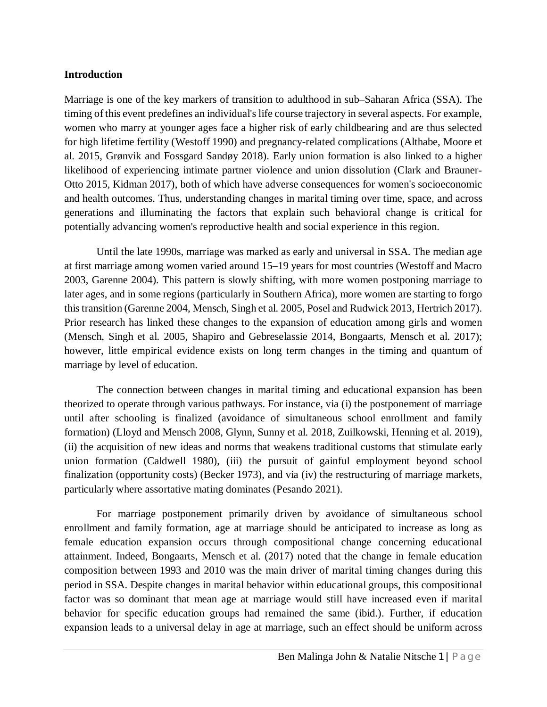#### **Introduction**

Marriage is one of the key markers of transition to adulthood in sub–Saharan Africa (SSA). The timing of this event predefines an individual's life course trajectory in several aspects. For example, women who marry at younger ages face a higher risk of early childbearing and are thus selected for high lifetime fertility (Westoff 1990) and pregnancy-related complications (Althabe, Moore et al. 2015, Grønvik and Fossgard Sandøy 2018). Early union formation is also linked to a higher likelihood of experiencing intimate partner violence and union dissolution (Clark and Brauner‐ Otto 2015, Kidman 2017), both of which have adverse consequences for women's socioeconomic and health outcomes. Thus, understanding changes in marital timing over time, space, and across generations and illuminating the factors that explain such behavioral change is critical for potentially advancing women's reproductive health and social experience in this region.

Until the late 1990s, marriage was marked as early and universal in SSA. The median age at first marriage among women varied around 15–19 years for most countries (Westoff and Macro 2003, Garenne 2004). This pattern is slowly shifting, with more women postponing marriage to later ages, and in some regions (particularly in Southern Africa), more women are starting to forgo this transition (Garenne 2004, Mensch, Singh et al. 2005, Posel and Rudwick 2013, Hertrich 2017). Prior research has linked these changes to the expansion of education among girls and women (Mensch, Singh et al. 2005, Shapiro and Gebreselassie 2014, Bongaarts, Mensch et al. 2017); however, little empirical evidence exists on long term changes in the timing and quantum of marriage by level of education.

The connection between changes in marital timing and educational expansion has been theorized to operate through various pathways. For instance, via (i) the postponement of marriage until after schooling is finalized (avoidance of simultaneous school enrollment and family formation) (Lloyd and Mensch 2008, Glynn, Sunny et al. 2018, Zuilkowski, Henning et al. 2019), (ii) the acquisition of new ideas and norms that weakens traditional customs that stimulate early union formation (Caldwell 1980), (iii) the pursuit of gainful employment beyond school finalization (opportunity costs) (Becker 1973), and via (iv) the restructuring of marriage markets, particularly where assortative mating dominates (Pesando 2021).

For marriage postponement primarily driven by avoidance of simultaneous school enrollment and family formation, age at marriage should be anticipated to increase as long as female education expansion occurs through compositional change concerning educational attainment. Indeed, Bongaarts, Mensch et al. (2017) noted that the change in female education composition between 1993 and 2010 was the main driver of marital timing changes during this period in SSA. Despite changes in marital behavior within educational groups, this compositional factor was so dominant that mean age at marriage would still have increased even if marital behavior for specific education groups had remained the same (ibid.). Further, if education expansion leads to a universal delay in age at marriage, such an effect should be uniform across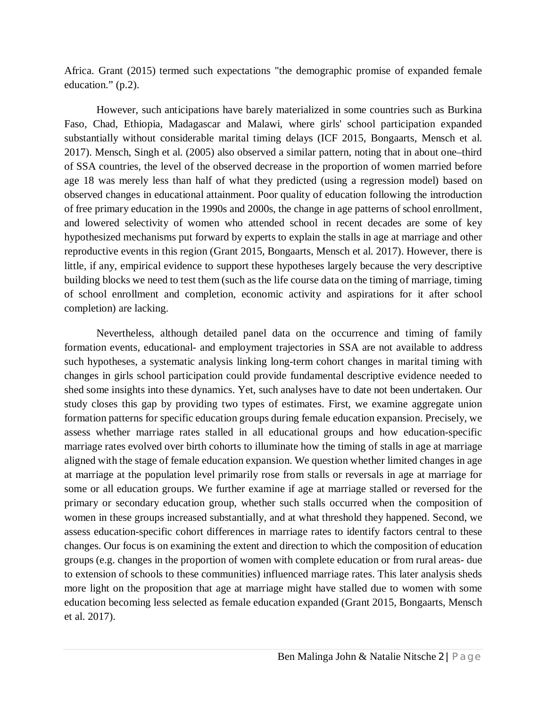Africa. Grant (2015) termed such expectations "the demographic promise of expanded female education." (p.2).

However, such anticipations have barely materialized in some countries such as Burkina Faso, Chad, Ethiopia, Madagascar and Malawi, where girls' school participation expanded substantially without considerable marital timing delays (ICF 2015, Bongaarts, Mensch et al. 2017). Mensch, Singh et al. (2005) also observed a similar pattern, noting that in about one–third of SSA countries, the level of the observed decrease in the proportion of women married before age 18 was merely less than half of what they predicted (using a regression model) based on observed changes in educational attainment. Poor quality of education following the introduction of free primary education in the 1990s and 2000s, the change in age patterns of school enrollment, and lowered selectivity of women who attended school in recent decades are some of key hypothesized mechanisms put forward by experts to explain the stalls in age at marriage and other reproductive events in this region (Grant 2015, Bongaarts, Mensch et al. 2017). However, there is little, if any, empirical evidence to support these hypotheses largely because the very descriptive building blocks we need to test them (such as the life course data on the timing of marriage, timing of school enrollment and completion, economic activity and aspirations for it after school completion) are lacking.

Nevertheless, although detailed panel data on the occurrence and timing of family formation events, educational- and employment trajectories in SSA are not available to address such hypotheses, a systematic analysis linking long-term cohort changes in marital timing with changes in girls school participation could provide fundamental descriptive evidence needed to shed some insights into these dynamics. Yet, such analyses have to date not been undertaken. Our study closes this gap by providing two types of estimates. First, we examine aggregate union formation patterns for specific education groups during female education expansion. Precisely, we assess whether marriage rates stalled in all educational groups and how education-specific marriage rates evolved over birth cohorts to illuminate how the timing of stalls in age at marriage aligned with the stage of female education expansion. We question whether limited changes in age at marriage at the population level primarily rose from stalls or reversals in age at marriage for some or all education groups. We further examine if age at marriage stalled or reversed for the primary or secondary education group, whether such stalls occurred when the composition of women in these groups increased substantially, and at what threshold they happened. Second, we assess education-specific cohort differences in marriage rates to identify factors central to these changes. Our focus is on examining the extent and direction to which the composition of education groups (e.g. changes in the proportion of women with complete education or from rural areas- due to extension of schools to these communities) influenced marriage rates. This later analysis sheds more light on the proposition that age at marriage might have stalled due to women with some education becoming less selected as female education expanded (Grant 2015, Bongaarts, Mensch et al. 2017).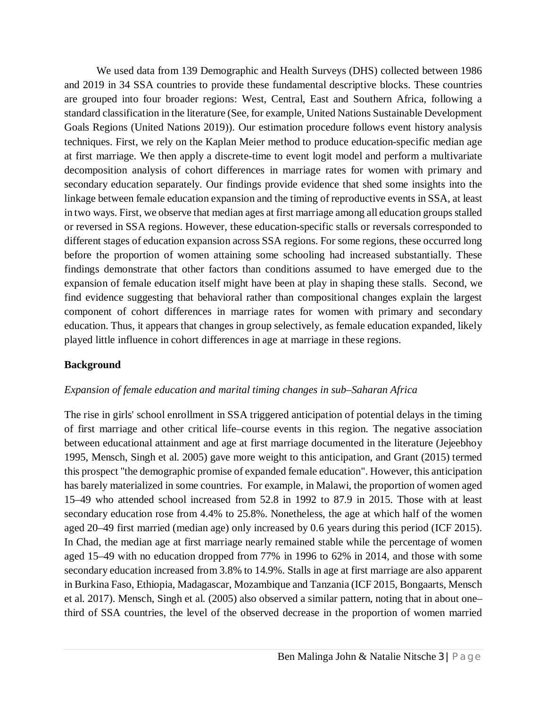We used data from 139 Demographic and Health Surveys (DHS) collected between 1986 and 2019 in 34 SSA countries to provide these fundamental descriptive blocks. These countries are grouped into four broader regions: West, Central, East and Southern Africa, following a standard classification in the literature (See, for example, United Nations Sustainable Development Goals Regions (United Nations 2019)). Our estimation procedure follows event history analysis techniques. First, we rely on the Kaplan Meier method to produce education-specific median age at first marriage. We then apply a discrete-time to event logit model and perform a multivariate decomposition analysis of cohort differences in marriage rates for women with primary and secondary education separately. Our findings provide evidence that shed some insights into the linkage between female education expansion and the timing of reproductive events in SSA, at least in two ways. First, we observe that median ages at first marriage among all education groups stalled or reversed in SSA regions. However, these education-specific stalls or reversals corresponded to different stages of education expansion across SSA regions. For some regions, these occurred long before the proportion of women attaining some schooling had increased substantially. These findings demonstrate that other factors than conditions assumed to have emerged due to the expansion of female education itself might have been at play in shaping these stalls. Second, we find evidence suggesting that behavioral rather than compositional changes explain the largest component of cohort differences in marriage rates for women with primary and secondary education. Thus, it appears that changes in group selectively, as female education expanded, likely played little influence in cohort differences in age at marriage in these regions.

#### **Background**

#### *Expansion of female education and marital timing changes in sub–Saharan Africa*

The rise in girls' school enrollment in SSA triggered anticipation of potential delays in the timing of first marriage and other critical life–course events in this region. The negative association between educational attainment and age at first marriage documented in the literature (Jejeebhoy 1995, Mensch, Singh et al. 2005) gave more weight to this anticipation, and Grant (2015) termed this prospect "the demographic promise of expanded female education". However, this anticipation has barely materialized in some countries. For example, in Malawi, the proportion of women aged 15–49 who attended school increased from 52.8 in 1992 to 87.9 in 2015. Those with at least secondary education rose from 4.4% to 25.8%. Nonetheless, the age at which half of the women aged 20–49 first married (median age) only increased by 0.6 years during this period (ICF 2015). In Chad, the median age at first marriage nearly remained stable while the percentage of women aged 15–49 with no education dropped from 77% in 1996 to 62% in 2014, and those with some secondary education increased from 3.8% to 14.9%. Stalls in age at first marriage are also apparent in Burkina Faso, Ethiopia, Madagascar, Mozambique and Tanzania (ICF 2015, Bongaarts, Mensch et al. 2017). Mensch, Singh et al. (2005) also observed a similar pattern, noting that in about one– third of SSA countries, the level of the observed decrease in the proportion of women married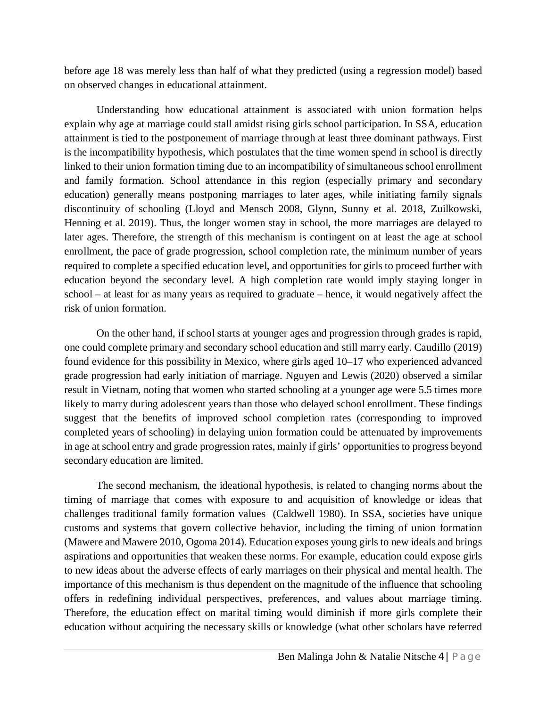before age 18 was merely less than half of what they predicted (using a regression model) based on observed changes in educational attainment.

Understanding how educational attainment is associated with union formation helps explain why age at marriage could stall amidst rising girls school participation. In SSA, education attainment is tied to the postponement of marriage through at least three dominant pathways. First is the incompatibility hypothesis, which postulates that the time women spend in school is directly linked to their union formation timing due to an incompatibility of simultaneous school enrollment and family formation. School attendance in this region (especially primary and secondary education) generally means postponing marriages to later ages, while initiating family signals discontinuity of schooling (Lloyd and Mensch 2008, Glynn, Sunny et al. 2018, Zuilkowski, Henning et al. 2019). Thus, the longer women stay in school, the more marriages are delayed to later ages. Therefore, the strength of this mechanism is contingent on at least the age at school enrollment, the pace of grade progression, school completion rate, the minimum number of years required to complete a specified education level, and opportunities for girls to proceed further with education beyond the secondary level. A high completion rate would imply staying longer in school – at least for as many years as required to graduate – hence, it would negatively affect the risk of union formation.

On the other hand, if school starts at younger ages and progression through grades is rapid, one could complete primary and secondary school education and still marry early. Caudillo (2019) found evidence for this possibility in Mexico, where girls aged 10–17 who experienced advanced grade progression had early initiation of marriage. Nguyen and Lewis (2020) observed a similar result in Vietnam, noting that women who started schooling at a younger age were 5.5 times more likely to marry during adolescent years than those who delayed school enrollment. These findings suggest that the benefits of improved school completion rates (corresponding to improved completed years of schooling) in delaying union formation could be attenuated by improvements in age at school entry and grade progression rates, mainly if girls' opportunities to progress beyond secondary education are limited.

The second mechanism, the ideational hypothesis, is related to changing norms about the timing of marriage that comes with exposure to and acquisition of knowledge or ideas that challenges traditional family formation values (Caldwell 1980). In SSA, societies have unique customs and systems that govern collective behavior, including the timing of union formation (Mawere and Mawere 2010, Ogoma 2014). Education exposes young girls to new ideals and brings aspirations and opportunities that weaken these norms. For example, education could expose girls to new ideas about the adverse effects of early marriages on their physical and mental health. The importance of this mechanism is thus dependent on the magnitude of the influence that schooling offers in redefining individual perspectives, preferences, and values about marriage timing. Therefore, the education effect on marital timing would diminish if more girls complete their education without acquiring the necessary skills or knowledge (what other scholars have referred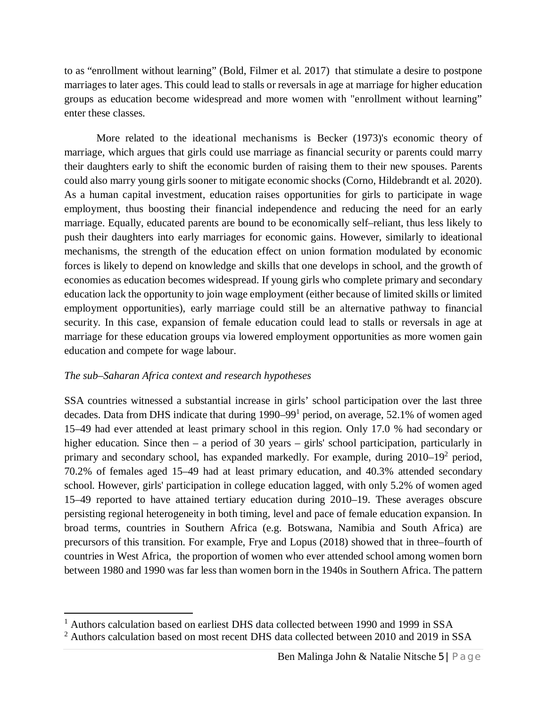to as "enrollment without learning" (Bold, Filmer et al. 2017) that stimulate a desire to postpone marriages to later ages. This could lead to stalls or reversals in age at marriage for higher education groups as education become widespread and more women with "enrollment without learning" enter these classes.

More related to the ideational mechanisms is Becker (1973)'s economic theory of marriage, which argues that girls could use marriage as financial security or parents could marry their daughters early to shift the economic burden of raising them to their new spouses. Parents could also marry young girls sooner to mitigate economic shocks (Corno, Hildebrandt et al. 2020). As a human capital investment, education raises opportunities for girls to participate in wage employment, thus boosting their financial independence and reducing the need for an early marriage. Equally, educated parents are bound to be economically self–reliant, thus less likely to push their daughters into early marriages for economic gains. However, similarly to ideational mechanisms, the strength of the education effect on union formation modulated by economic forces is likely to depend on knowledge and skills that one develops in school, and the growth of economies as education becomes widespread. If young girls who complete primary and secondary education lack the opportunity to join wage employment (either because of limited skills or limited employment opportunities), early marriage could still be an alternative pathway to financial security. In this case, expansion of female education could lead to stalls or reversals in age at marriage for these education groups via lowered employment opportunities as more women gain education and compete for wage labour.

#### *The sub–Saharan Africa context and research hypotheses*

SSA countries witnessed a substantial increase in girls' school participation over the last three decades. Data from DHS indicate that during 1990–99<sup>1</sup> period, on average, 52.1% of women aged 15–49 had ever attended at least primary school in this region. Only 17.0 % had secondary or higher education. Since then – a period of 30 years – girls' school participation, particularly in primary and secondary school, has expanded markedly. For example, during 2010–19<sup>2</sup> period, 70.2% of females aged 15–49 had at least primary education, and 40.3% attended secondary school. However, girls' participation in college education lagged, with only 5.2% of women aged 15–49 reported to have attained tertiary education during 2010–19. These averages obscure persisting regional heterogeneity in both timing, level and pace of female education expansion. In broad terms, countries in Southern Africa (e.g. Botswana, Namibia and South Africa) are precursors of this transition. For example, Frye and Lopus (2018) showed that in three–fourth of countries in West Africa, the proportion of women who ever attended school among women born between 1980 and 1990 was far less than women born in the 1940s in Southern Africa. The pattern

<sup>&</sup>lt;sup>1</sup> Authors calculation based on earliest DHS data collected between 1990 and 1999 in SSA

<sup>&</sup>lt;sup>2</sup> Authors calculation based on most recent DHS data collected between 2010 and 2019 in SSA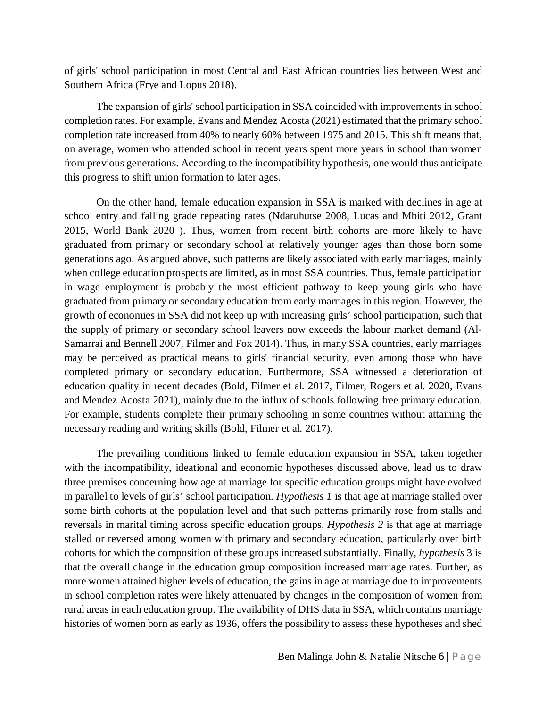of girls' school participation in most Central and East African countries lies between West and Southern Africa (Frye and Lopus 2018).

The expansion of girls' school participation in SSA coincided with improvements in school completion rates. For example, Evans and Mendez Acosta (2021) estimated that the primary school completion rate increased from 40% to nearly 60% between 1975 and 2015. This shift means that, on average, women who attended school in recent years spent more years in school than women from previous generations. According to the incompatibility hypothesis, one would thus anticipate this progress to shift union formation to later ages.

On the other hand, female education expansion in SSA is marked with declines in age at school entry and falling grade repeating rates (Ndaruhutse 2008, Lucas and Mbiti 2012, Grant 2015, World Bank 2020 ). Thus, women from recent birth cohorts are more likely to have graduated from primary or secondary school at relatively younger ages than those born some generations ago. As argued above, such patterns are likely associated with early marriages, mainly when college education prospects are limited, as in most SSA countries. Thus, female participation in wage employment is probably the most efficient pathway to keep young girls who have graduated from primary or secondary education from early marriages in this region. However, the growth of economies in SSA did not keep up with increasing girls' school participation, such that the supply of primary or secondary school leavers now exceeds the labour market demand (Al-Samarrai and Bennell 2007, Filmer and Fox 2014). Thus, in many SSA countries, early marriages may be perceived as practical means to girls' financial security, even among those who have completed primary or secondary education. Furthermore, SSA witnessed a deterioration of education quality in recent decades (Bold, Filmer et al. 2017, Filmer, Rogers et al. 2020, Evans and Mendez Acosta 2021), mainly due to the influx of schools following free primary education. For example, students complete their primary schooling in some countries without attaining the necessary reading and writing skills (Bold, Filmer et al. 2017).

The prevailing conditions linked to female education expansion in SSA, taken together with the incompatibility, ideational and economic hypotheses discussed above, lead us to draw three premises concerning how age at marriage for specific education groups might have evolved in parallel to levels of girls' school participation. *Hypothesis 1* is that age at marriage stalled over some birth cohorts at the population level and that such patterns primarily rose from stalls and reversals in marital timing across specific education groups. *Hypothesis 2* is that age at marriage stalled or reversed among women with primary and secondary education, particularly over birth cohorts for which the composition of these groups increased substantially. Finally*, hypothesis* 3 is that the overall change in the education group composition increased marriage rates. Further, as more women attained higher levels of education, the gains in age at marriage due to improvements in school completion rates were likely attenuated by changes in the composition of women from rural areas in each education group. The availability of DHS data in SSA, which contains marriage histories of women born as early as 1936, offers the possibility to assess these hypotheses and shed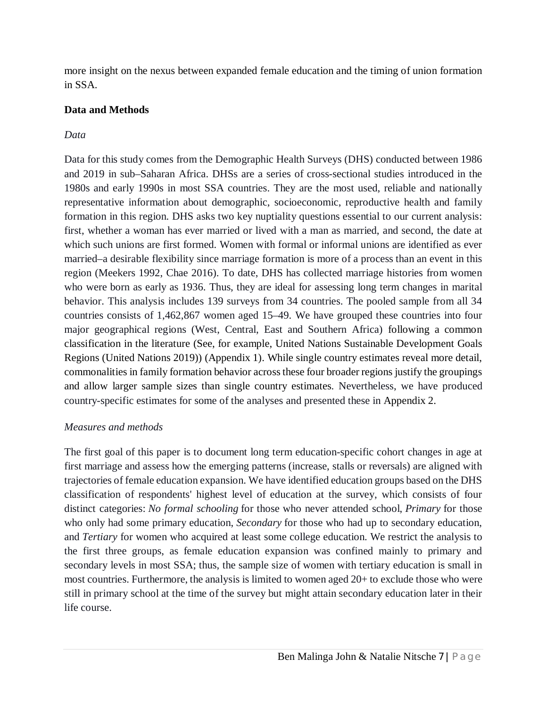more insight on the nexus between expanded female education and the timing of union formation in SSA.

#### **Data and Methods**

#### *Data*

Data for this study comes from the Demographic Health Surveys (DHS) conducted between 1986 and 2019 in sub–Saharan Africa. DHSs are a series of cross-sectional studies introduced in the 1980s and early 1990s in most SSA countries. They are the most used, reliable and nationally representative information about demographic, socioeconomic, reproductive health and family formation in this region. DHS asks two key nuptiality questions essential to our current analysis: first, whether a woman has ever married or lived with a man as married, and second, the date at which such unions are first formed. Women with formal or informal unions are identified as ever married–a desirable flexibility since marriage formation is more of a process than an event in this region (Meekers 1992, Chae 2016). To date, DHS has collected marriage histories from women who were born as early as 1936. Thus, they are ideal for assessing long term changes in marital behavior. This analysis includes 139 surveys from 34 countries. The pooled sample from all 34 countries consists of 1,462,867 women aged 15–49. We have grouped these countries into four major geographical regions (West, Central, East and Southern Africa) following a common classification in the literature (See, for example, United Nations Sustainable Development Goals Regions (United Nations 2019)) (Appendix 1). While single country estimates reveal more detail, commonalities in family formation behavior across these four broader regions justify the groupings and allow larger sample sizes than single country estimates. Nevertheless, we have produced country-specific estimates for some of the analyses and presented these in Appendix 2.

#### *Measures and methods*

The first goal of this paper is to document long term education-specific cohort changes in age at first marriage and assess how the emerging patterns (increase, stalls or reversals) are aligned with trajectories of female education expansion. We have identified education groups based on the DHS classification of respondents' highest level of education at the survey, which consists of four distinct categories: *No formal schooling* for those who never attended school, *Primary* for those who only had some primary education, *Secondary* for those who had up to secondary education, and *Tertiary* for women who acquired at least some college education. We restrict the analysis to the first three groups, as female education expansion was confined mainly to primary and secondary levels in most SSA; thus, the sample size of women with tertiary education is small in most countries. Furthermore, the analysis is limited to women aged 20+ to exclude those who were still in primary school at the time of the survey but might attain secondary education later in their life course.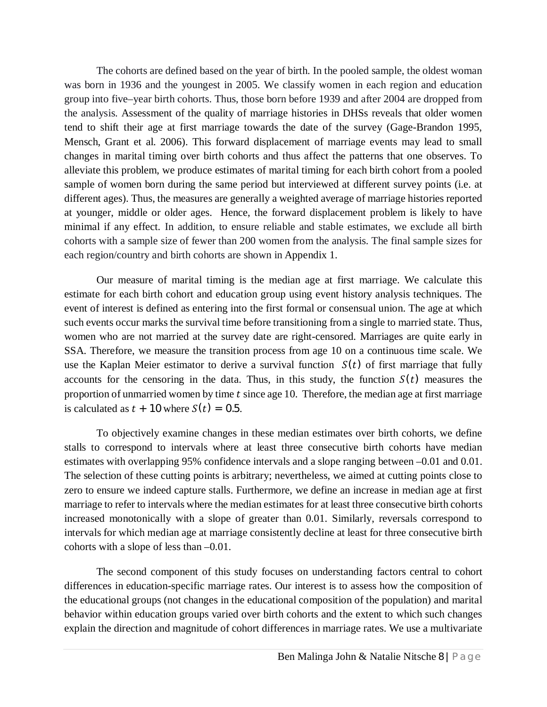The cohorts are defined based on the year of birth. In the pooled sample, the oldest woman was born in 1936 and the youngest in 2005. We classify women in each region and education group into five–year birth cohorts. Thus, those born before 1939 and after 2004 are dropped from the analysis. Assessment of the quality of marriage histories in DHSs reveals that older women tend to shift their age at first marriage towards the date of the survey (Gage-Brandon 1995, Mensch, Grant et al. 2006). This forward displacement of marriage events may lead to small changes in marital timing over birth cohorts and thus affect the patterns that one observes. To alleviate this problem, we produce estimates of marital timing for each birth cohort from a pooled sample of women born during the same period but interviewed at different survey points (i.e. at different ages). Thus, the measures are generally a weighted average of marriage histories reported at younger, middle or older ages. Hence, the forward displacement problem is likely to have minimal if any effect. In addition, to ensure reliable and stable estimates, we exclude all birth cohorts with a sample size of fewer than 200 women from the analysis. The final sample sizes for each region/country and birth cohorts are shown in Appendix 1.

Our measure of marital timing is the median age at first marriage. We calculate this estimate for each birth cohort and education group using event history analysis techniques. The event of interest is defined as entering into the first formal or consensual union. The age at which such events occur marks the survival time before transitioning from a single to married state. Thus, women who are not married at the survey date are right-censored. Marriages are quite early in SSA. Therefore, we measure the transition process from age 10 on a continuous time scale. We use the Kaplan Meier estimator to derive a survival function  $S(t)$  of first marriage that fully accounts for the censoring in the data. Thus, in this study, the function  $S(t)$  measures the proportion of unmarried women by time  $t$  since age 10. Therefore, the median age at first marriage is calculated as  $t + 10$  where  $S(t) = 0.5$ .

To objectively examine changes in these median estimates over birth cohorts, we define stalls to correspond to intervals where at least three consecutive birth cohorts have median estimates with overlapping 95% confidence intervals and a slope ranging between –0.01 and 0.01. The selection of these cutting points is arbitrary; nevertheless, we aimed at cutting points close to zero to ensure we indeed capture stalls. Furthermore, we define an increase in median age at first marriage to refer to intervals where the median estimates for at least three consecutive birth cohorts increased monotonically with a slope of greater than 0.01. Similarly, reversals correspond to intervals for which median age at marriage consistently decline at least for three consecutive birth cohorts with a slope of less than –0.01.

The second component of this study focuses on understanding factors central to cohort differences in education-specific marriage rates. Our interest is to assess how the composition of the educational groups (not changes in the educational composition of the population) and marital behavior within education groups varied over birth cohorts and the extent to which such changes explain the direction and magnitude of cohort differences in marriage rates. We use a multivariate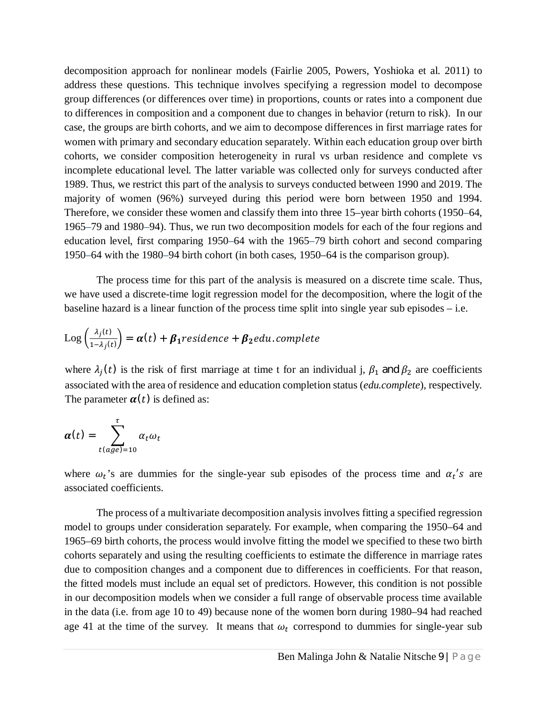decomposition approach for nonlinear models (Fairlie 2005, Powers, Yoshioka et al. 2011) to address these questions. This technique involves specifying a regression model to decompose group differences (or differences over time) in proportions, counts or rates into a component due to differences in composition and a component due to changes in behavior (return to risk). In our case, the groups are birth cohorts, and we aim to decompose differences in first marriage rates for women with primary and secondary education separately. Within each education group over birth cohorts, we consider composition heterogeneity in rural vs urban residence and complete vs incomplete educational level. The latter variable was collected only for surveys conducted after 1989. Thus, we restrict this part of the analysis to surveys conducted between 1990 and 2019. The majority of women (96%) surveyed during this period were born between 1950 and 1994. Therefore, we consider these women and classify them into three 15–year birth cohorts (1950–64, 1965–79 and 1980–94). Thus, we run two decomposition models for each of the four regions and education level, first comparing 1950–64 with the 1965–79 birth cohort and second comparing 1950–64 with the 1980–94 birth cohort (in both cases, 1950–64 is the comparison group).

The process time for this part of the analysis is measured on a discrete time scale. Thus, we have used a discrete-time logit regression model for the decomposition, where the logit of the baseline hazard is a linear function of the process time split into single year sub episodes – i.e.

$$
Log\left(\frac{\lambda_j(t)}{1-\lambda_j(t)}\right) = \boldsymbol{\alpha}(t) + \boldsymbol{\beta}_1 residue
$$

where  $\lambda_j(t)$  is the risk of first marriage at time t for an individual j,  $\beta_1$  and  $\beta_2$  are coefficients associated with the area of residence and education completion status (*edu.complete*), respectively. The parameter  $\alpha(t)$  is defined as:

$$
\boldsymbol{\alpha}(t) = \sum_{t(age)=10}^{\tau} \alpha_t \omega_t
$$

where  $\omega_t$ 's are dummies for the single-year sub episodes of the process time and  $\alpha_t$ 's are associated coefficients.

The process of a multivariate decomposition analysis involves fitting a specified regression model to groups under consideration separately. For example, when comparing the 1950–64 and 1965–69 birth cohorts, the process would involve fitting the model we specified to these two birth cohorts separately and using the resulting coefficients to estimate the difference in marriage rates due to composition changes and a component due to differences in coefficients. For that reason, the fitted models must include an equal set of predictors. However, this condition is not possible in our decomposition models when we consider a full range of observable process time available in the data (i.e. from age 10 to 49) because none of the women born during 1980–94 had reached age 41 at the time of the survey. It means that  $\omega_t$  correspond to dummies for single-year sub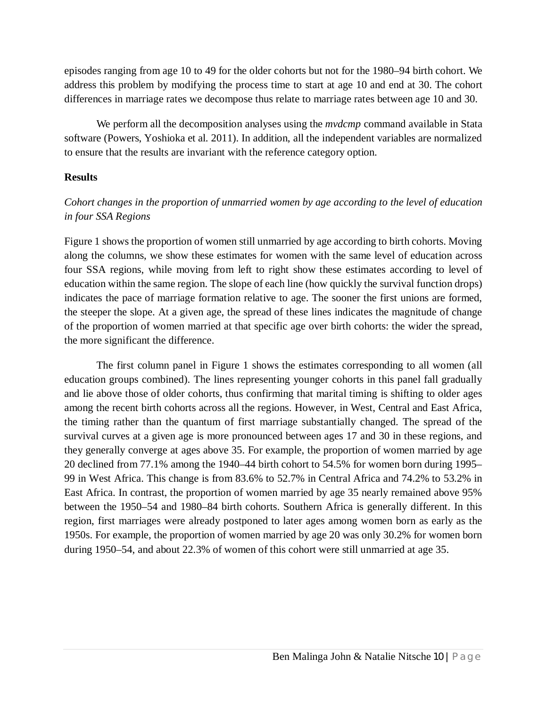episodes ranging from age 10 to 49 for the older cohorts but not for the 1980–94 birth cohort. We address this problem by modifying the process time to start at age 10 and end at 30. The cohort differences in marriage rates we decompose thus relate to marriage rates between age 10 and 30.

We perform all the decomposition analyses using the *mvdcmp* command available in Stata software (Powers, Yoshioka et al. 2011). In addition, all the independent variables are normalized to ensure that the results are invariant with the reference category option.

#### **Results**

### *Cohort changes in the proportion of unmarried women by age according to the level of education in four SSA Regions*

Figure 1 shows the proportion of women still unmarried by age according to birth cohorts. Moving along the columns, we show these estimates for women with the same level of education across four SSA regions, while moving from left to right show these estimates according to level of education within the same region. The slope of each line (how quickly the survival function drops) indicates the pace of marriage formation relative to age. The sooner the first unions are formed, the steeper the slope. At a given age, the spread of these lines indicates the magnitude of change of the proportion of women married at that specific age over birth cohorts: the wider the spread, the more significant the difference.

The first column panel in Figure 1 shows the estimates corresponding to all women (all education groups combined). The lines representing younger cohorts in this panel fall gradually and lie above those of older cohorts, thus confirming that marital timing is shifting to older ages among the recent birth cohorts across all the regions. However, in West, Central and East Africa, the timing rather than the quantum of first marriage substantially changed. The spread of the survival curves at a given age is more pronounced between ages 17 and 30 in these regions, and they generally converge at ages above 35. For example, the proportion of women married by age 20 declined from 77.1% among the 1940–44 birth cohort to 54.5% for women born during 1995– 99 in West Africa. This change is from 83.6% to 52.7% in Central Africa and 74.2% to 53.2% in East Africa. In contrast, the proportion of women married by age 35 nearly remained above 95% between the 1950–54 and 1980–84 birth cohorts. Southern Africa is generally different. In this region, first marriages were already postponed to later ages among women born as early as the 1950s. For example, the proportion of women married by age 20 was only 30.2% for women born during 1950–54, and about 22.3% of women of this cohort were still unmarried at age 35.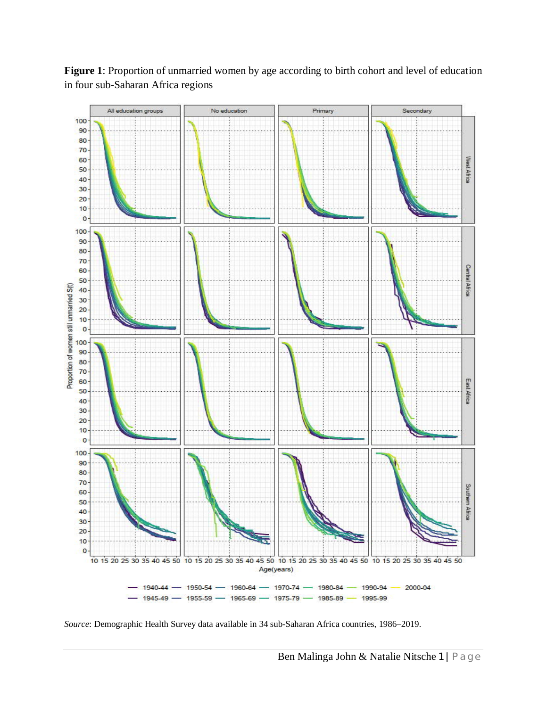

**Figure 1**: Proportion of unmarried women by age according to birth cohort and level of education in four sub-Saharan Africa regions

*Source*: Demographic Health Survey data available in 34 sub-Saharan Africa countries, 1986–2019.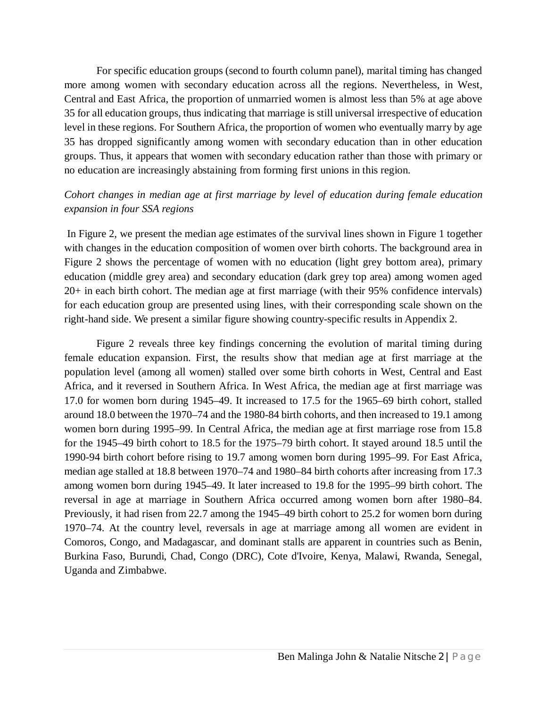For specific education groups (second to fourth column panel), marital timing has changed more among women with secondary education across all the regions. Nevertheless, in West, Central and East Africa, the proportion of unmarried women is almost less than 5% at age above 35 for all education groups, thus indicating that marriage is still universal irrespective of education level in these regions. For Southern Africa, the proportion of women who eventually marry by age 35 has dropped significantly among women with secondary education than in other education groups. Thus, it appears that women with secondary education rather than those with primary or no education are increasingly abstaining from forming first unions in this region.

#### *Cohort changes in median age at first marriage by level of education during female education expansion in four SSA regions*

In Figure 2, we present the median age estimates of the survival lines shown in Figure 1 together with changes in the education composition of women over birth cohorts. The background area in Figure 2 shows the percentage of women with no education (light grey bottom area), primary education (middle grey area) and secondary education (dark grey top area) among women aged 20+ in each birth cohort. The median age at first marriage (with their 95% confidence intervals) for each education group are presented using lines, with their corresponding scale shown on the right-hand side. We present a similar figure showing country-specific results in Appendix 2.

Figure 2 reveals three key findings concerning the evolution of marital timing during female education expansion. First, the results show that median age at first marriage at the population level (among all women) stalled over some birth cohorts in West, Central and East Africa, and it reversed in Southern Africa. In West Africa, the median age at first marriage was 17.0 for women born during 1945–49. It increased to 17.5 for the 1965–69 birth cohort, stalled around 18.0 between the 1970–74 and the 1980-84 birth cohorts, and then increased to 19.1 among women born during 1995–99. In Central Africa, the median age at first marriage rose from 15.8 for the 1945–49 birth cohort to 18.5 for the 1975–79 birth cohort. It stayed around 18.5 until the 1990-94 birth cohort before rising to 19.7 among women born during 1995–99. For East Africa, median age stalled at 18.8 between 1970–74 and 1980–84 birth cohorts after increasing from 17.3 among women born during 1945–49. It later increased to 19.8 for the 1995–99 birth cohort. The reversal in age at marriage in Southern Africa occurred among women born after 1980–84. Previously, it had risen from 22.7 among the 1945–49 birth cohort to 25.2 for women born during 1970–74. At the country level, reversals in age at marriage among all women are evident in Comoros, Congo, and Madagascar, and dominant stalls are apparent in countries such as Benin, Burkina Faso, Burundi, Chad, Congo (DRC), Cote d'Ivoire, Kenya, Malawi, Rwanda, Senegal, Uganda and Zimbabwe.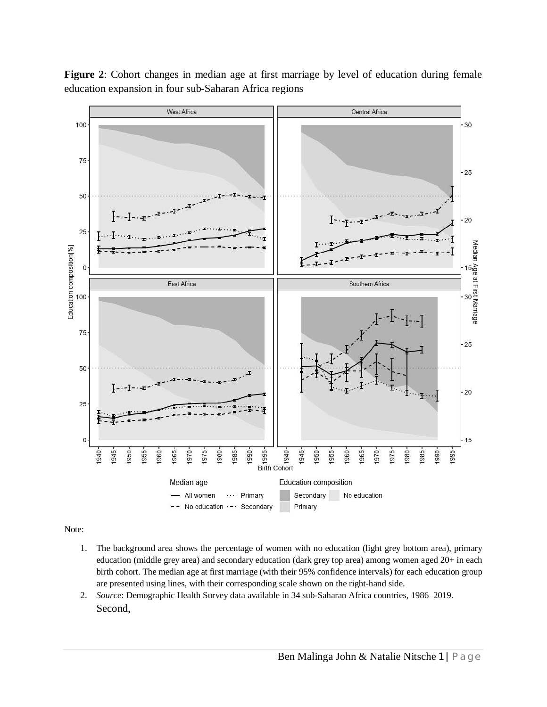

**Figure 2**: Cohort changes in median age at first marriage by level of education during female education expansion in four sub-Saharan Africa regions

Note:

- 1. The background area shows the percentage of women with no education (light grey bottom area), primary education (middle grey area) and secondary education (dark grey top area) among women aged 20+ in each birth cohort. The median age at first marriage (with their 95% confidence intervals) for each education group are presented using lines, with their corresponding scale shown on the right-hand side.
- 2. *Source*: Demographic Health Survey data available in 34 sub-Saharan Africa countries, 1986–2019. Second,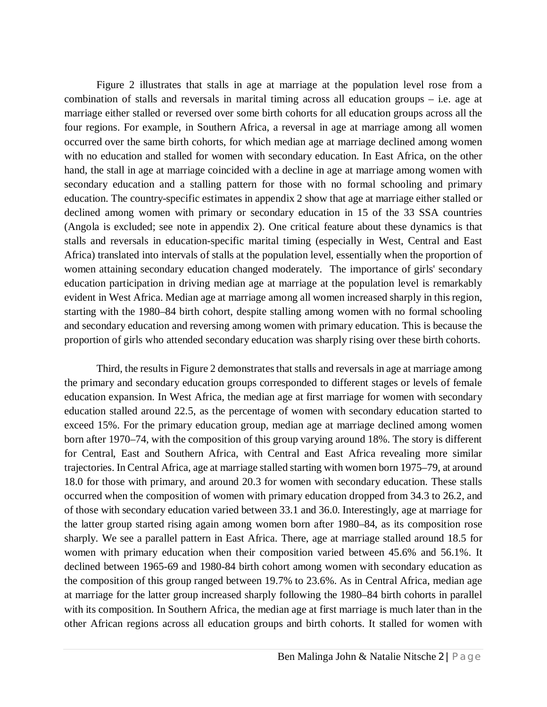Figure 2 illustrates that stalls in age at marriage at the population level rose from a combination of stalls and reversals in marital timing across all education groups – i.e. age at marriage either stalled or reversed over some birth cohorts for all education groups across all the four regions. For example, in Southern Africa, a reversal in age at marriage among all women occurred over the same birth cohorts, for which median age at marriage declined among women with no education and stalled for women with secondary education. In East Africa, on the other hand, the stall in age at marriage coincided with a decline in age at marriage among women with secondary education and a stalling pattern for those with no formal schooling and primary education. The country-specific estimates in appendix 2 show that age at marriage either stalled or declined among women with primary or secondary education in 15 of the 33 SSA countries (Angola is excluded; see note in appendix 2). One critical feature about these dynamics is that stalls and reversals in education-specific marital timing (especially in West, Central and East Africa) translated into intervals of stalls at the population level, essentially when the proportion of women attaining secondary education changed moderately. The importance of girls' secondary education participation in driving median age at marriage at the population level is remarkably evident in West Africa. Median age at marriage among all women increased sharply in this region, starting with the 1980–84 birth cohort, despite stalling among women with no formal schooling and secondary education and reversing among women with primary education. This is because the proportion of girls who attended secondary education was sharply rising over these birth cohorts.

Third, the results in Figure 2 demonstrates that stalls and reversals in age at marriage among the primary and secondary education groups corresponded to different stages or levels of female education expansion. In West Africa, the median age at first marriage for women with secondary education stalled around 22.5, as the percentage of women with secondary education started to exceed 15%. For the primary education group, median age at marriage declined among women born after 1970–74, with the composition of this group varying around 18%. The story is different for Central, East and Southern Africa, with Central and East Africa revealing more similar trajectories. In Central Africa, age at marriage stalled starting with women born 1975–79, at around 18.0 for those with primary, and around 20.3 for women with secondary education. These stalls occurred when the composition of women with primary education dropped from 34.3 to 26.2, and of those with secondary education varied between 33.1 and 36.0. Interestingly, age at marriage for the latter group started rising again among women born after 1980–84, as its composition rose sharply. We see a parallel pattern in East Africa. There, age at marriage stalled around 18.5 for women with primary education when their composition varied between 45.6% and 56.1%. It declined between 1965-69 and 1980-84 birth cohort among women with secondary education as the composition of this group ranged between 19.7% to 23.6%. As in Central Africa, median age at marriage for the latter group increased sharply following the 1980–84 birth cohorts in parallel with its composition. In Southern Africa, the median age at first marriage is much later than in the other African regions across all education groups and birth cohorts. It stalled for women with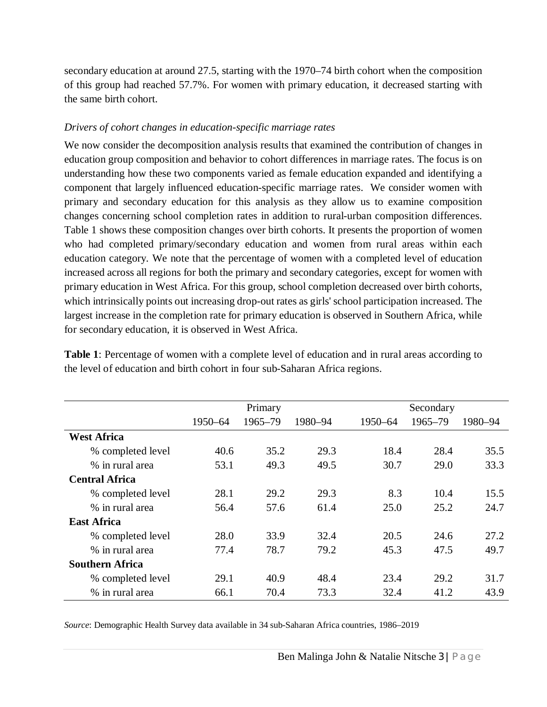secondary education at around 27.5, starting with the 1970–74 birth cohort when the composition of this group had reached 57.7%. For women with primary education, it decreased starting with the same birth cohort.

#### *Drivers of cohort changes in education-specific marriage rates*

We now consider the decomposition analysis results that examined the contribution of changes in education group composition and behavior to cohort differences in marriage rates. The focus is on understanding how these two components varied as female education expanded and identifying a component that largely influenced education-specific marriage rates. We consider women with primary and secondary education for this analysis as they allow us to examine composition changes concerning school completion rates in addition to rural-urban composition differences. Table 1 shows these composition changes over birth cohorts. It presents the proportion of women who had completed primary/secondary education and women from rural areas within each education category. We note that the percentage of women with a completed level of education increased across all regions for both the primary and secondary categories, except for women with primary education in West Africa. For this group, school completion decreased over birth cohorts, which intrinsically points out increasing drop-out rates as girls' school participation increased. The largest increase in the completion rate for primary education is observed in Southern Africa, while for secondary education, it is observed in West Africa.

|                        | Primary |         |         | Secondary |         |         |
|------------------------|---------|---------|---------|-----------|---------|---------|
|                        | 1950-64 | 1965-79 | 1980-94 | 1950-64   | 1965-79 | 1980-94 |
| <b>West Africa</b>     |         |         |         |           |         |         |
| % completed level      | 40.6    | 35.2    | 29.3    | 18.4      | 28.4    | 35.5    |
| % in rural area        | 53.1    | 49.3    | 49.5    | 30.7      | 29.0    | 33.3    |
| <b>Central Africa</b>  |         |         |         |           |         |         |
| % completed level      | 28.1    | 29.2    | 29.3    | 8.3       | 10.4    | 15.5    |
| % in rural area        | 56.4    | 57.6    | 61.4    | 25.0      | 25.2    | 24.7    |
| <b>East Africa</b>     |         |         |         |           |         |         |
| % completed level      | 28.0    | 33.9    | 32.4    | 20.5      | 24.6    | 27.2    |
| % in rural area        | 77.4    | 78.7    | 79.2    | 45.3      | 47.5    | 49.7    |
| <b>Southern Africa</b> |         |         |         |           |         |         |
| % completed level      | 29.1    | 40.9    | 48.4    | 23.4      | 29.2    | 31.7    |
| % in rural area        | 66.1    | 70.4    | 73.3    | 32.4      | 41.2    | 43.9    |

**Table 1**: Percentage of women with a complete level of education and in rural areas according to the level of education and birth cohort in four sub-Saharan Africa regions.

*Source*: Demographic Health Survey data available in 34 sub-Saharan Africa countries, 1986–2019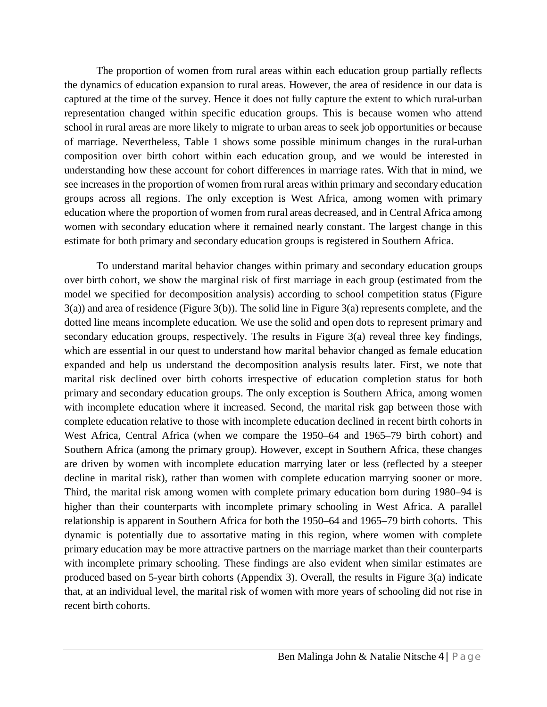The proportion of women from rural areas within each education group partially reflects the dynamics of education expansion to rural areas. However, the area of residence in our data is captured at the time of the survey. Hence it does not fully capture the extent to which rural-urban representation changed within specific education groups. This is because women who attend school in rural areas are more likely to migrate to urban areas to seek job opportunities or because of marriage. Nevertheless, Table 1 shows some possible minimum changes in the rural-urban composition over birth cohort within each education group, and we would be interested in understanding how these account for cohort differences in marriage rates. With that in mind, we see increases in the proportion of women from rural areas within primary and secondary education groups across all regions. The only exception is West Africa, among women with primary education where the proportion of women from rural areas decreased, and in Central Africa among women with secondary education where it remained nearly constant. The largest change in this estimate for both primary and secondary education groups is registered in Southern Africa.

To understand marital behavior changes within primary and secondary education groups over birth cohort, we show the marginal risk of first marriage in each group (estimated from the model we specified for decomposition analysis) according to school competition status (Figure 3(a)) and area of residence (Figure 3(b)). The solid line in Figure 3(a) represents complete, and the dotted line means incomplete education. We use the solid and open dots to represent primary and secondary education groups, respectively. The results in Figure 3(a) reveal three key findings, which are essential in our quest to understand how marital behavior changed as female education expanded and help us understand the decomposition analysis results later. First, we note that marital risk declined over birth cohorts irrespective of education completion status for both primary and secondary education groups. The only exception is Southern Africa, among women with incomplete education where it increased. Second, the marital risk gap between those with complete education relative to those with incomplete education declined in recent birth cohorts in West Africa, Central Africa (when we compare the 1950–64 and 1965–79 birth cohort) and Southern Africa (among the primary group). However, except in Southern Africa, these changes are driven by women with incomplete education marrying later or less (reflected by a steeper decline in marital risk), rather than women with complete education marrying sooner or more. Third, the marital risk among women with complete primary education born during 1980–94 is higher than their counterparts with incomplete primary schooling in West Africa. A parallel relationship is apparent in Southern Africa for both the 1950–64 and 1965–79 birth cohorts. This dynamic is potentially due to assortative mating in this region, where women with complete primary education may be more attractive partners on the marriage market than their counterparts with incomplete primary schooling. These findings are also evident when similar estimates are produced based on 5-year birth cohorts (Appendix 3). Overall, the results in Figure 3(a) indicate that, at an individual level, the marital risk of women with more years of schooling did not rise in recent birth cohorts.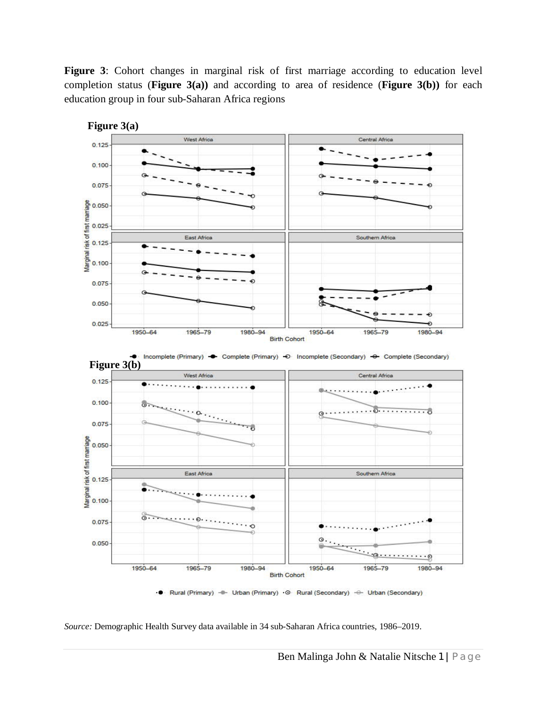**Figure 3**: Cohort changes in marginal risk of first marriage according to education level completion status (**Figure 3(a))** and according to area of residence (**Figure 3(b))** for each education group in four sub-Saharan Africa regions



*Source:* Demographic Health Survey data available in 34 sub-Saharan Africa countries, 1986–2019.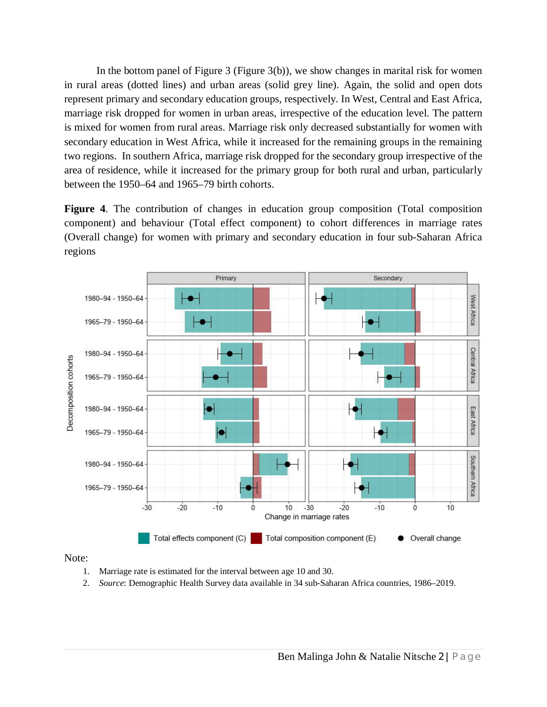In the bottom panel of Figure 3 (Figure 3(b)), we show changes in marital risk for women in rural areas (dotted lines) and urban areas (solid grey line). Again, the solid and open dots represent primary and secondary education groups, respectively. In West, Central and East Africa, marriage risk dropped for women in urban areas, irrespective of the education level. The pattern is mixed for women from rural areas. Marriage risk only decreased substantially for women with secondary education in West Africa, while it increased for the remaining groups in the remaining two regions. In southern Africa, marriage risk dropped for the secondary group irrespective of the area of residence, while it increased for the primary group for both rural and urban, particularly between the 1950–64 and 1965–79 birth cohorts.

**Figure 4**. The contribution of changes in education group composition (Total composition component) and behaviour (Total effect component) to cohort differences in marriage rates (Overall change) for women with primary and secondary education in four sub-Saharan Africa regions



Note:

- 1. Marriage rate is estimated for the interval between age 10 and 30.
- 2. *Source*: Demographic Health Survey data available in 34 sub-Saharan Africa countries, 1986–2019.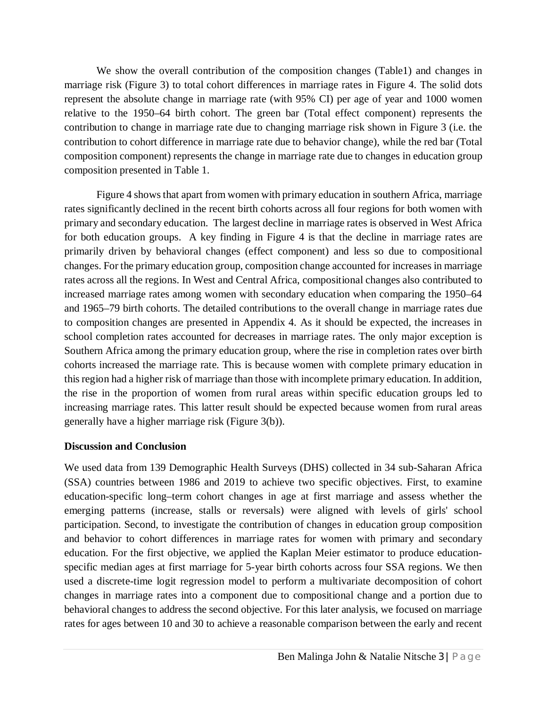We show the overall contribution of the composition changes (Table1) and changes in marriage risk (Figure 3) to total cohort differences in marriage rates in Figure 4. The solid dots represent the absolute change in marriage rate (with 95% CI) per age of year and 1000 women relative to the 1950–64 birth cohort. The green bar (Total effect component) represents the contribution to change in marriage rate due to changing marriage risk shown in Figure 3 (i.e. the contribution to cohort difference in marriage rate due to behavior change), while the red bar (Total composition component) represents the change in marriage rate due to changes in education group composition presented in Table 1.

Figure 4 shows that apart from women with primary education in southern Africa, marriage rates significantly declined in the recent birth cohorts across all four regions for both women with primary and secondary education. The largest decline in marriage rates is observed in West Africa for both education groups. A key finding in Figure 4 is that the decline in marriage rates are primarily driven by behavioral changes (effect component) and less so due to compositional changes. For the primary education group, composition change accounted for increases in marriage rates across all the regions. In West and Central Africa, compositional changes also contributed to increased marriage rates among women with secondary education when comparing the 1950–64 and 1965–79 birth cohorts. The detailed contributions to the overall change in marriage rates due to composition changes are presented in Appendix 4. As it should be expected, the increases in school completion rates accounted for decreases in marriage rates. The only major exception is Southern Africa among the primary education group, where the rise in completion rates over birth cohorts increased the marriage rate. This is because women with complete primary education in this region had a higher risk of marriage than those with incomplete primary education. In addition, the rise in the proportion of women from rural areas within specific education groups led to increasing marriage rates. This latter result should be expected because women from rural areas generally have a higher marriage risk (Figure 3(b)).

#### **Discussion and Conclusion**

We used data from 139 Demographic Health Surveys (DHS) collected in 34 sub-Saharan Africa (SSA) countries between 1986 and 2019 to achieve two specific objectives. First, to examine education-specific long–term cohort changes in age at first marriage and assess whether the emerging patterns (increase, stalls or reversals) were aligned with levels of girls' school participation. Second, to investigate the contribution of changes in education group composition and behavior to cohort differences in marriage rates for women with primary and secondary education. For the first objective, we applied the Kaplan Meier estimator to produce educationspecific median ages at first marriage for 5-year birth cohorts across four SSA regions. We then used a discrete-time logit regression model to perform a multivariate decomposition of cohort changes in marriage rates into a component due to compositional change and a portion due to behavioral changes to address the second objective. For this later analysis, we focused on marriage rates for ages between 10 and 30 to achieve a reasonable comparison between the early and recent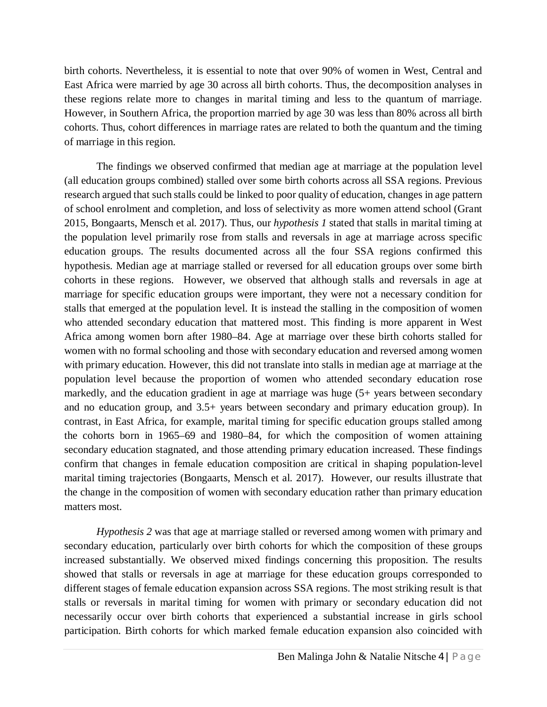birth cohorts. Nevertheless, it is essential to note that over 90% of women in West, Central and East Africa were married by age 30 across all birth cohorts. Thus, the decomposition analyses in these regions relate more to changes in marital timing and less to the quantum of marriage. However, in Southern Africa, the proportion married by age 30 was less than 80% across all birth cohorts. Thus, cohort differences in marriage rates are related to both the quantum and the timing of marriage in this region.

The findings we observed confirmed that median age at marriage at the population level (all education groups combined) stalled over some birth cohorts across all SSA regions. Previous research argued that such stalls could be linked to poor quality of education, changes in age pattern of school enrolment and completion, and loss of selectivity as more women attend school (Grant 2015, Bongaarts, Mensch et al. 2017). Thus, our *hypothesis 1* stated that stalls in marital timing at the population level primarily rose from stalls and reversals in age at marriage across specific education groups. The results documented across all the four SSA regions confirmed this hypothesis. Median age at marriage stalled or reversed for all education groups over some birth cohorts in these regions. However, we observed that although stalls and reversals in age at marriage for specific education groups were important, they were not a necessary condition for stalls that emerged at the population level. It is instead the stalling in the composition of women who attended secondary education that mattered most. This finding is more apparent in West Africa among women born after 1980–84. Age at marriage over these birth cohorts stalled for women with no formal schooling and those with secondary education and reversed among women with primary education. However, this did not translate into stalls in median age at marriage at the population level because the proportion of women who attended secondary education rose markedly, and the education gradient in age at marriage was huge (5+ years between secondary and no education group, and 3.5+ years between secondary and primary education group). In contrast, in East Africa, for example, marital timing for specific education groups stalled among the cohorts born in 1965–69 and 1980–84, for which the composition of women attaining secondary education stagnated, and those attending primary education increased. These findings confirm that changes in female education composition are critical in shaping population-level marital timing trajectories (Bongaarts, Mensch et al. 2017). However, our results illustrate that the change in the composition of women with secondary education rather than primary education matters most.

*Hypothesis 2* was that age at marriage stalled or reversed among women with primary and secondary education, particularly over birth cohorts for which the composition of these groups increased substantially. We observed mixed findings concerning this proposition. The results showed that stalls or reversals in age at marriage for these education groups corresponded to different stages of female education expansion across SSA regions. The most striking result is that stalls or reversals in marital timing for women with primary or secondary education did not necessarily occur over birth cohorts that experienced a substantial increase in girls school participation. Birth cohorts for which marked female education expansion also coincided with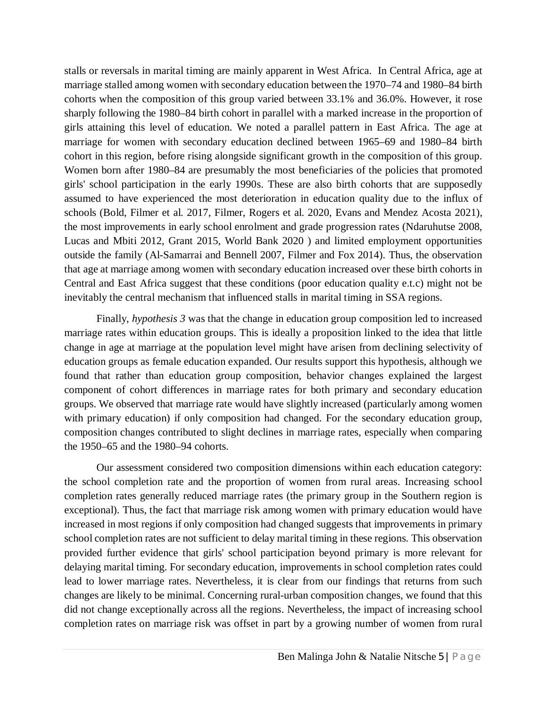stalls or reversals in marital timing are mainly apparent in West Africa. In Central Africa, age at marriage stalled among women with secondary education between the 1970–74 and 1980–84 birth cohorts when the composition of this group varied between 33.1% and 36.0%. However, it rose sharply following the 1980–84 birth cohort in parallel with a marked increase in the proportion of girls attaining this level of education. We noted a parallel pattern in East Africa. The age at marriage for women with secondary education declined between 1965–69 and 1980–84 birth cohort in this region, before rising alongside significant growth in the composition of this group. Women born after 1980–84 are presumably the most beneficiaries of the policies that promoted girls' school participation in the early 1990s. These are also birth cohorts that are supposedly assumed to have experienced the most deterioration in education quality due to the influx of schools (Bold, Filmer et al. 2017, Filmer, Rogers et al. 2020, Evans and Mendez Acosta 2021), the most improvements in early school enrolment and grade progression rates (Ndaruhutse 2008, Lucas and Mbiti 2012, Grant 2015, World Bank 2020 ) and limited employment opportunities outside the family (Al-Samarrai and Bennell 2007, Filmer and Fox 2014). Thus, the observation that age at marriage among women with secondary education increased over these birth cohorts in Central and East Africa suggest that these conditions (poor education quality e.t.c) might not be inevitably the central mechanism that influenced stalls in marital timing in SSA regions.

Finally, *hypothesis 3* was that the change in education group composition led to increased marriage rates within education groups. This is ideally a proposition linked to the idea that little change in age at marriage at the population level might have arisen from declining selectivity of education groups as female education expanded. Our results support this hypothesis, although we found that rather than education group composition, behavior changes explained the largest component of cohort differences in marriage rates for both primary and secondary education groups. We observed that marriage rate would have slightly increased (particularly among women with primary education) if only composition had changed. For the secondary education group, composition changes contributed to slight declines in marriage rates, especially when comparing the 1950–65 and the 1980–94 cohorts.

Our assessment considered two composition dimensions within each education category: the school completion rate and the proportion of women from rural areas. Increasing school completion rates generally reduced marriage rates (the primary group in the Southern region is exceptional). Thus, the fact that marriage risk among women with primary education would have increased in most regions if only composition had changed suggests that improvements in primary school completion rates are not sufficient to delay marital timing in these regions. This observation provided further evidence that girls' school participation beyond primary is more relevant for delaying marital timing. For secondary education, improvements in school completion rates could lead to lower marriage rates. Nevertheless, it is clear from our findings that returns from such changes are likely to be minimal. Concerning rural-urban composition changes, we found that this did not change exceptionally across all the regions. Nevertheless, the impact of increasing school completion rates on marriage risk was offset in part by a growing number of women from rural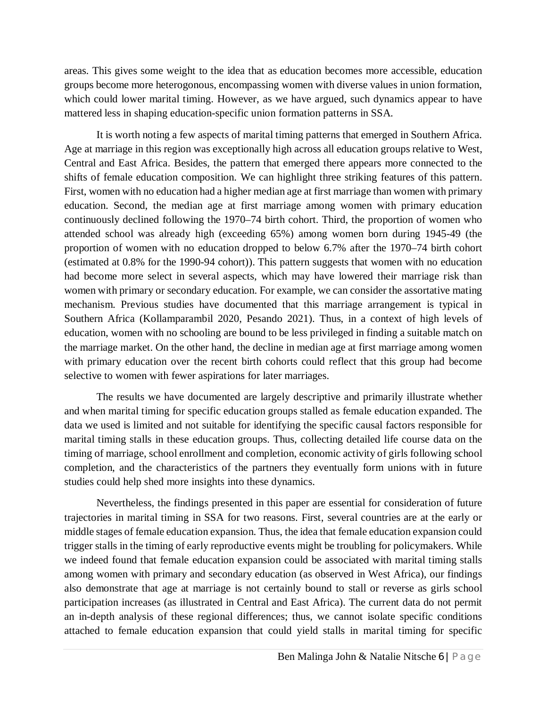areas. This gives some weight to the idea that as education becomes more accessible, education groups become more heterogonous, encompassing women with diverse values in union formation, which could lower marital timing. However, as we have argued, such dynamics appear to have mattered less in shaping education-specific union formation patterns in SSA.

It is worth noting a few aspects of marital timing patterns that emerged in Southern Africa. Age at marriage in this region was exceptionally high across all education groups relative to West, Central and East Africa. Besides, the pattern that emerged there appears more connected to the shifts of female education composition. We can highlight three striking features of this pattern. First, women with no education had a higher median age at first marriage than women with primary education. Second, the median age at first marriage among women with primary education continuously declined following the 1970–74 birth cohort. Third, the proportion of women who attended school was already high (exceeding 65%) among women born during 1945-49 (the proportion of women with no education dropped to below 6.7% after the 1970–74 birth cohort (estimated at 0.8% for the 1990-94 cohort)). This pattern suggests that women with no education had become more select in several aspects, which may have lowered their marriage risk than women with primary or secondary education. For example, we can consider the assortative mating mechanism. Previous studies have documented that this marriage arrangement is typical in Southern Africa (Kollamparambil 2020, Pesando 2021). Thus, in a context of high levels of education, women with no schooling are bound to be less privileged in finding a suitable match on the marriage market. On the other hand, the decline in median age at first marriage among women with primary education over the recent birth cohorts could reflect that this group had become selective to women with fewer aspirations for later marriages.

The results we have documented are largely descriptive and primarily illustrate whether and when marital timing for specific education groups stalled as female education expanded. The data we used is limited and not suitable for identifying the specific causal factors responsible for marital timing stalls in these education groups. Thus, collecting detailed life course data on the timing of marriage, school enrollment and completion, economic activity of girls following school completion, and the characteristics of the partners they eventually form unions with in future studies could help shed more insights into these dynamics.

Nevertheless, the findings presented in this paper are essential for consideration of future trajectories in marital timing in SSA for two reasons. First, several countries are at the early or middle stages of female education expansion. Thus, the idea that female education expansion could trigger stalls in the timing of early reproductive events might be troubling for policymakers. While we indeed found that female education expansion could be associated with marital timing stalls among women with primary and secondary education (as observed in West Africa), our findings also demonstrate that age at marriage is not certainly bound to stall or reverse as girls school participation increases (as illustrated in Central and East Africa). The current data do not permit an in-depth analysis of these regional differences; thus, we cannot isolate specific conditions attached to female education expansion that could yield stalls in marital timing for specific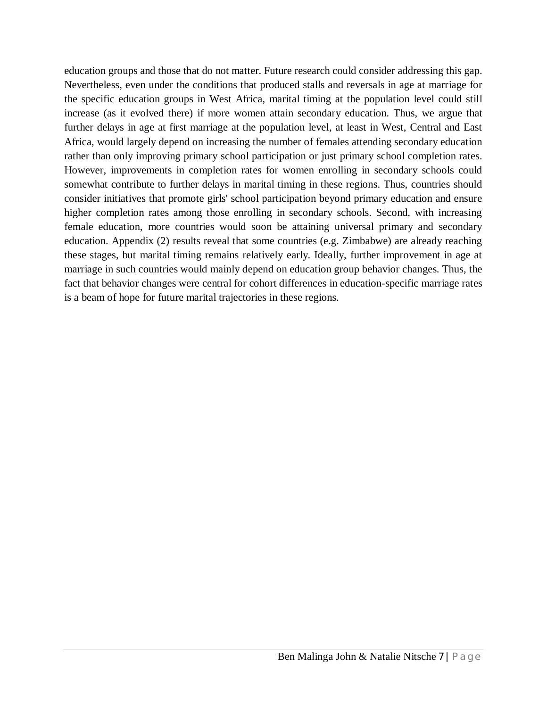education groups and those that do not matter. Future research could consider addressing this gap. Nevertheless, even under the conditions that produced stalls and reversals in age at marriage for the specific education groups in West Africa, marital timing at the population level could still increase (as it evolved there) if more women attain secondary education. Thus, we argue that further delays in age at first marriage at the population level, at least in West, Central and East Africa, would largely depend on increasing the number of females attending secondary education rather than only improving primary school participation or just primary school completion rates. However, improvements in completion rates for women enrolling in secondary schools could somewhat contribute to further delays in marital timing in these regions. Thus, countries should consider initiatives that promote girls' school participation beyond primary education and ensure higher completion rates among those enrolling in secondary schools. Second, with increasing female education, more countries would soon be attaining universal primary and secondary education. Appendix (2) results reveal that some countries (e.g. Zimbabwe) are already reaching these stages, but marital timing remains relatively early. Ideally, further improvement in age at marriage in such countries would mainly depend on education group behavior changes. Thus, the fact that behavior changes were central for cohort differences in education-specific marriage rates is a beam of hope for future marital trajectories in these regions.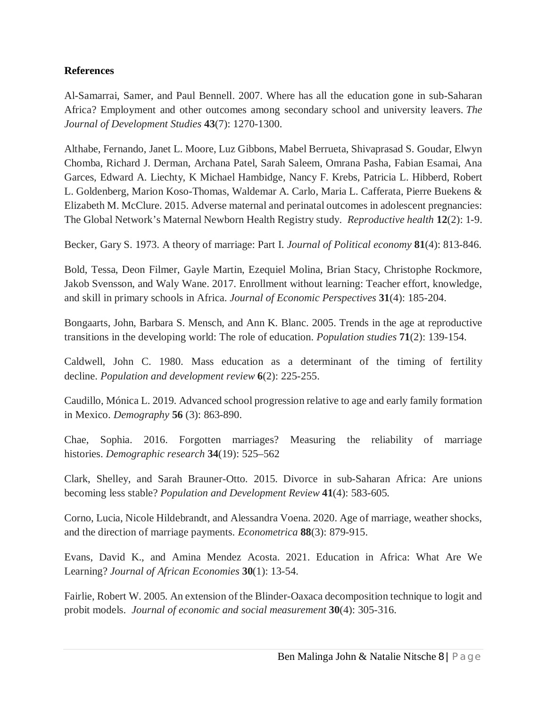#### **References**

Al-Samarrai, Samer, and Paul Bennell. 2007. Where has all the education gone in sub-Saharan Africa? Employment and other outcomes among secondary school and university leavers. *The Journal of Development Studies* **43**(7): 1270-1300.

Althabe, Fernando, Janet L. Moore, Luz Gibbons, Mabel Berrueta, Shivaprasad S. Goudar, Elwyn Chomba, Richard J. Derman, Archana Patel, Sarah Saleem, Omrana Pasha, Fabian Esamai, Ana Garces, Edward A. Liechty, K Michael Hambidge, Nancy F. Krebs, Patricia L. Hibberd, Robert L. Goldenberg, Marion Koso-Thomas, Waldemar A. Carlo, Maria L. Cafferata, Pierre Buekens & Elizabeth M. McClure. 2015. Adverse maternal and perinatal outcomes in adolescent pregnancies: The Global Network's Maternal Newborn Health Registry study. *Reproductive health* **12**(2): 1-9.

Becker, Gary S. 1973. A theory of marriage: Part I. *Journal of Political economy* **81**(4): 813-846.

Bold, Tessa, Deon Filmer, Gayle Martin, Ezequiel Molina, Brian Stacy, Christophe Rockmore, Jakob Svensson, and Waly Wane. 2017. Enrollment without learning: Teacher effort, knowledge, and skill in primary schools in Africa. *Journal of Economic Perspectives* **31**(4): 185-204.

Bongaarts, John, Barbara S. Mensch, and Ann K. Blanc. 2005. Trends in the age at reproductive transitions in the developing world: The role of education. *Population studies* **71**(2): 139-154.

Caldwell, John C. 1980. Mass education as a determinant of the timing of fertility decline. *Population and development review* **6**(2): 225-255.

Caudillo, Mónica L. 2019. Advanced school progression relative to age and early family formation in Mexico. *Demography* **56** (3): 863-890.

Chae, Sophia. 2016. Forgotten marriages? Measuring the reliability of marriage histories. *Demographic research* **34**(19): 525–562

Clark, Shelley, and Sarah Brauner‐Otto. 2015. Divorce in sub‐Saharan Africa: Are unions becoming less stable? *Population and Development Review* **41**(4): 583-605.

Corno, Lucia, Nicole Hildebrandt, and Alessandra Voena. 2020. Age of marriage, weather shocks, and the direction of marriage payments. *Econometrica* **88**(3): 879-915.

Evans, David K., and Amina Mendez Acosta. 2021. Education in Africa: What Are We Learning? *Journal of African Economies* **30**(1): 13-54.

Fairlie, Robert W. 2005. An extension of the Blinder-Oaxaca decomposition technique to logit and probit models. *Journal of economic and social measurement* **30**(4): 305-316.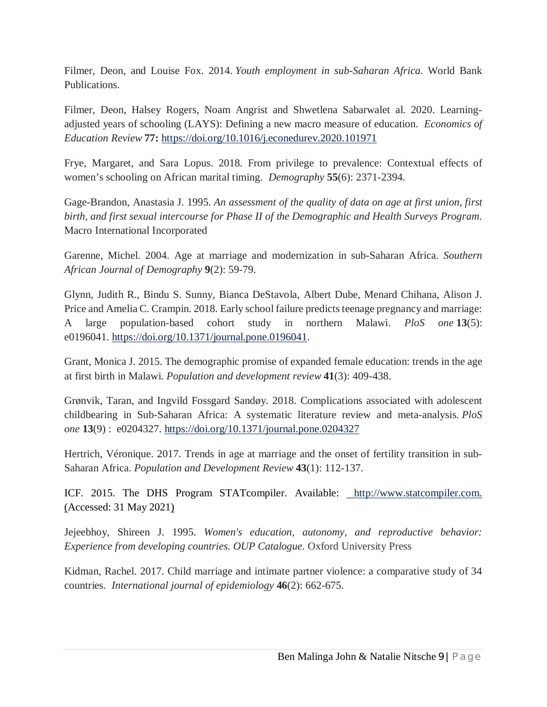Filmer, Deon, and Louise Fox. 2014. *Youth employment in sub-Saharan Africa*. World Bank Publications.

Filmer, Deon, Halsey Rogers, Noam Angrist and Shwetlena Sabarwalet al. 2020. Learningadjusted years of schooling (LAYS): Defining a new macro measure of education. *Economics of Education Review* **77:** https://doi.org/10.1016/j.econedurev.2020.101971

Frye, Margaret, and Sara Lopus. 2018. From privilege to prevalence: Contextual effects of women's schooling on African marital timing. *Demography* **55**(6): 2371-2394.

Gage-Brandon, Anastasia J. 1995. *An assessment of the quality of data on age at first union, first birth, and first sexual intercourse for Phase II of the Demographic and Health Surveys Program*. Macro International Incorporated

Garenne, Michel. 2004. Age at marriage and modernization in sub-Saharan Africa. *Southern African Journal of Demography* **9**(2): 59-79.

Glynn, Judith R., Bindu S. Sunny, Bianca DeStavola, Albert Dube, Menard Chihana, Alison J. Price and Amelia C. Crampin. 2018. Early school failure predicts teenage pregnancy and marriage: A large population-based cohort study in northern Malawi. *PloS one* **13**(5): e0196041. https://doi.org/10.1371/journal.pone.0196041.

Grant, Monica J. 2015. The demographic promise of expanded female education: trends in the age at first birth in Malawi. *Population and development review* **41**(3): 409-438.

Grønvik, Taran, and Ingvild Fossgard Sandøy. 2018. Complications associated with adolescent childbearing in Sub-Saharan Africa: A systematic literature review and meta-analysis. *PloS one* **13**(9) : e0204327. https://doi.org/10.1371/journal.pone.0204327

Hertrich, Véronique. 2017. Trends in age at marriage and the onset of fertility transition in sub-Saharan Africa. *Population and Development Review* **43**(1): 112-137.

ICF. 2015. The DHS Program STATcompiler. Available: http://www.statcompiler.com. (Accessed: 31 May 2021)

Jejeebhoy, Shireen J. 1995. *Women's education, autonomy, and reproductive behavior: Experience from developing countries*. *OUP Catalogue*. Oxford University Press

Kidman, Rachel. 2017. Child marriage and intimate partner violence: a comparative study of 34 countries. *International journal of epidemiology* **46**(2): 662-675.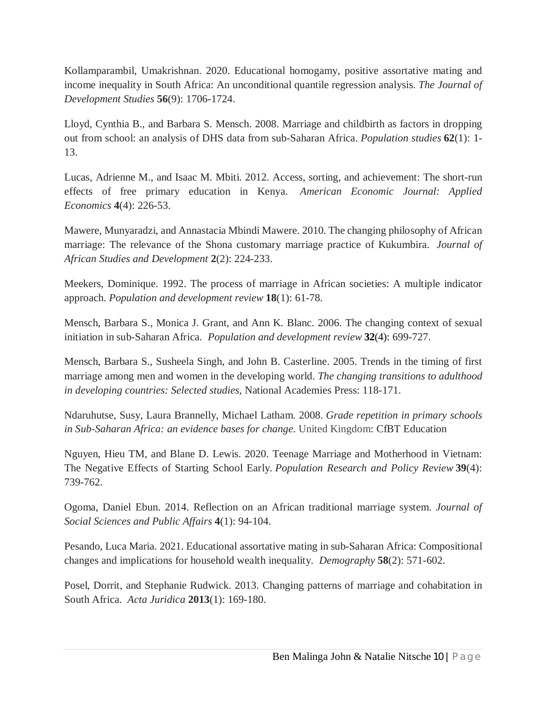Kollamparambil, Umakrishnan. 2020. Educational homogamy, positive assortative mating and income inequality in South Africa: An unconditional quantile regression analysis. *The Journal of Development Studies* **56**(9): 1706-1724.

Lloyd, Cynthia B., and Barbara S. Mensch. 2008. Marriage and childbirth as factors in dropping out from school: an analysis of DHS data from sub-Saharan Africa. *Population studies* **62**(1): 1- 13.

Lucas, Adrienne M., and Isaac M. Mbiti. 2012. Access, sorting, and achievement: The short-run effects of free primary education in Kenya. *American Economic Journal: Applied Economics* **4**(4): 226-53.

Mawere, Munyaradzi, and Annastacia Mbindi Mawere. 2010. The changing philosophy of African marriage: The relevance of the Shona customary marriage practice of Kukumbira. *Journal of African Studies and Development* **2**(2): 224-233.

Meekers, Dominique. 1992. The process of marriage in African societies: A multiple indicator approach. *Population and development review* **18**(1): 61-78.

Mensch, Barbara S., Monica J. Grant, and Ann K. Blanc. 2006. The changing context of sexual initiation in sub-Saharan Africa. *Population and development review* **32**(4): 699-727.

Mensch, Barbara S., Susheela Singh, and John B. Casterline. 2005. Trends in the timing of first marriage among men and women in the developing world. *The changing transitions to adulthood in developing countries: Selected studies*, National Academies Press: 118-171.

Ndaruhutse, Susy, Laura Brannelly, Michael Latham. 2008. *Grade repetition in primary schools in Sub-Saharan Africa: an evidence bases for change*. United Kingdom: CfBT Education

Nguyen, Hieu TM, and Blane D. Lewis. 2020. Teenage Marriage and Motherhood in Vietnam: The Negative Effects of Starting School Early. *Population Research and Policy Review* **39**(4): 739-762.

Ogoma, Daniel Ebun. 2014. Reflection on an African traditional marriage system. *Journal of Social Sciences and Public Affairs* **4**(1): 94-104.

Pesando, Luca Maria. 2021. Educational assortative mating in sub-Saharan Africa: Compositional changes and implications for household wealth inequality. *Demography* **58**(2): 571-602.

Posel, Dorrit, and Stephanie Rudwick. 2013. Changing patterns of marriage and cohabitation in South Africa. *Acta Juridica* **2013**(1): 169-180.